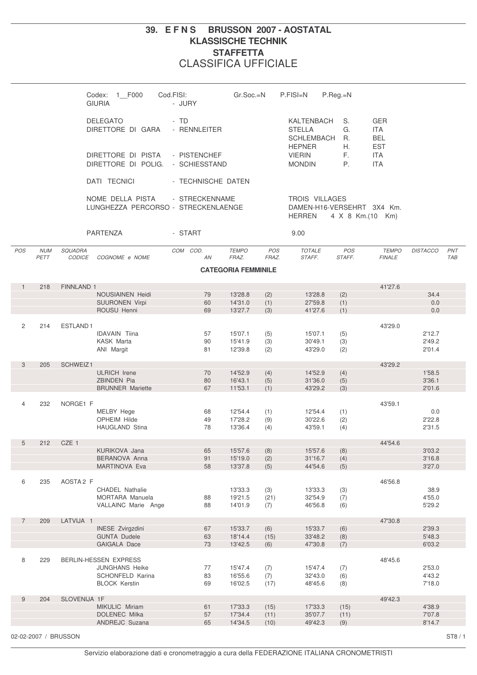## **39. E F N S BRUSSON 2007 - AOSTATAL KLASSISCHE TECHNIK STAFFETTA** CLASSIFICA UFFICIALE

|                |                    |                      | Codex: 1 F000<br><b>GIURIA</b>                          | Cod.FISI:<br>- JURY  | $Gr.Soc.=N$                |                                        | $P.FISI=N$                                      | $P.$ Reg. $=N$ |                                        |                  |                   |
|----------------|--------------------|----------------------|---------------------------------------------------------|----------------------|----------------------------|----------------------------------------|-------------------------------------------------|----------------|----------------------------------------|------------------|-------------------|
|                |                    |                      | <b>DELEGATO</b><br>DIRETTORE DI GARA                    | - TD<br>- RENNLEITER |                            |                                        | KALTENBACH<br><b>STELLA</b><br>SCHLEMBACH       | S.<br>G.<br>R. | <b>GER</b><br><b>ITA</b><br><b>BEL</b> |                  |                   |
|                |                    |                      | DIRETTORE DI PISTA<br>DIRETTORE DI POLIG. - SCHIESSTAND | - PISTENCHEF         |                            |                                        | <b>HEPNER</b><br><b>VIERIN</b><br><b>MONDIN</b> | Η.<br>F.<br>P. | <b>EST</b><br><b>ITA</b><br><b>ITA</b> |                  |                   |
|                |                    |                      | DATI TECNICI                                            | - TECHNISCHE DATEN   |                            |                                        |                                                 |                |                                        |                  |                   |
|                |                    |                      | NOME DELLA PISTA<br>LUNGHEZZA PERCORSO - STRECKENLAENGE | - STRECKENNAME       |                            | <b>TROIS VILLAGES</b><br><b>HERREN</b> | DAMEN-H16-VERSEHRT 3X4 Km.<br>4 X 8 Km.(10 Km)  |                |                                        |                  |                   |
|                |                    |                      | PARTENZA                                                | - START              |                            |                                        | 9.00                                            |                |                                        |                  |                   |
| POS            | <b>NUM</b><br>PETT | SQUADRA<br>CODICE    | COGNOME e NOME                                          | COM COD.<br>AN       | <b>TEMPO</b><br>FRAZ.      | POS<br>FRAZ.                           | <b>TOTALE</b><br>STAFF.                         | POS<br>STAFF.  | <b>TEMPO</b><br><b>FINALE</b>          | <b>DISTACCO</b>  | PNT<br><b>TAB</b> |
|                |                    |                      |                                                         |                      | <b>CATEGORIA FEMMINILE</b> |                                        |                                                 |                |                                        |                  |                   |
| $\mathbf{1}$   | 218                | FINNLAND 1           |                                                         |                      |                            |                                        |                                                 |                | 41'27.6                                |                  |                   |
|                |                    |                      | <b>NOUSIAINEN Heidi</b><br><b>SUURONEN Virpi</b>        | 79<br>60             | 13'28.8<br>14'31.0         | (2)<br>(1)                             | 13'28.8<br>27'59.8                              | (2)<br>(1)     |                                        | 34.4<br>0.0      |                   |
|                |                    |                      | ROUSU Henni                                             | 69                   | 13'27.7                    | (3)                                    | 41'27.6                                         | (1)            |                                        | 0.0              |                   |
|                |                    |                      |                                                         |                      |                            |                                        |                                                 |                |                                        |                  |                   |
| 2              | 214                | ESTLAND <sub>1</sub> |                                                         |                      |                            |                                        |                                                 |                | 43'29.0                                |                  |                   |
|                |                    |                      | <b>IDAVAIN Tiina</b><br><b>KASK Marta</b>               | 57<br>90             | 15'07.1<br>15'41.9         | (5)<br>(3)                             | 15'07.1<br>30'49.1                              | (5)<br>(3)     |                                        | 2'12.7<br>2'49.2 |                   |
|                |                    |                      | ANI Margit                                              | 81                   | 12'39.8                    | (2)                                    | 43'29.0                                         | (2)            |                                        | 2'01.4           |                   |
| 3              | 205                | SCHWEIZ1             |                                                         |                      |                            |                                        |                                                 |                | 43'29.2                                |                  |                   |
|                |                    |                      | <b>ULRICH Irene</b>                                     | 70                   | 14'52.9                    | (4)                                    | 14'52.9                                         | (4)            |                                        | 1'58.5           |                   |
|                |                    |                      | <b>ZBINDEN Pia</b>                                      | 80                   | 16'43.1                    | (5)                                    | 31'36.0                                         | (5)            |                                        | 3'36.1           |                   |
|                |                    |                      | <b>BRUNNER Mariette</b>                                 | 67                   | 11'53.1                    | (1)                                    | 43'29.2                                         | (3)            |                                        | 2'01.6           |                   |
| $\overline{4}$ | 232                | NORGE1 F             |                                                         |                      |                            |                                        |                                                 |                | 43'59.1                                |                  |                   |
|                |                    |                      | MELBY Hege                                              | 68                   | 12'54.4                    | (1)                                    | 12'54.4                                         | (1)            |                                        | 0.0              |                   |
|                |                    |                      | <b>OPHEIM Hilde</b>                                     | 49                   | 17'28.2                    | (9)                                    | 30'22.6                                         | (2)            |                                        | 2'22.8           |                   |
|                |                    |                      | <b>HAUGLAND Stina</b>                                   | 78                   | 13'36.4                    | (4)                                    | 43'59.1                                         | (4)            |                                        | 2'31.5           |                   |
| 5              | 212                | CZE 1                |                                                         |                      |                            |                                        |                                                 |                | 44'54.6                                |                  |                   |
|                |                    |                      | KURIKOVA Jana                                           | 65                   | 15'57.6                    | (8)                                    | 15'57.6                                         | (8)            |                                        | 3'03.2           |                   |
|                |                    |                      | BERANOVA Anna<br>MARTINOVA Eva                          | 91<br>58             | 15'19.0<br>13'37.8         | (2)                                    | 31'16.7<br>44'54.6                              | (4)            |                                        | 3'16.8<br>3'27.0 |                   |
|                |                    |                      |                                                         |                      |                            | (5)                                    |                                                 | (5)            |                                        |                  |                   |
| 6              | 235                | AOSTA <sub>2</sub> F |                                                         |                      |                            |                                        |                                                 |                | 46'56.8                                |                  |                   |
|                |                    |                      | <b>CHADEL Nathalie</b>                                  |                      | 13'33.3                    | (3)                                    | 13'33.3                                         | (3)            |                                        | 38.9             |                   |
|                |                    |                      | MORTARA Manuela<br>VALLAINC Marie Ange                  | 88<br>88             | 19'21.5<br>14'01.9         | (21)<br>(7)                            | 32'54.9<br>46'56.8                              | (7)<br>(6)     |                                        | 4'55.0<br>5'29.2 |                   |
|                |                    |                      |                                                         |                      |                            |                                        |                                                 |                |                                        |                  |                   |
| $\overline{7}$ | 209                | LATVIJA 1            |                                                         |                      |                            |                                        |                                                 |                | 47'30.8                                |                  |                   |
|                |                    |                      | INESE Zvirgzdini<br><b>GUNTA Dudele</b>                 | 67<br>63             | 15'33.7<br>18'14.4         | (6)<br>(15)                            | 15'33.7<br>33'48.2                              | (6)<br>(8)     |                                        | 2'39.3<br>5'48.3 |                   |
|                |                    |                      | GAIGALA Dace                                            | 73                   | 13'42.5                    | (6)                                    | 47'30.8                                         | (7)            |                                        | 6'03.2           |                   |
|                |                    |                      |                                                         |                      |                            |                                        |                                                 |                |                                        |                  |                   |
| 8              | 229                |                      | <b>BERLIN-HESSEN EXPRESS</b>                            |                      |                            |                                        |                                                 |                | 48'45.6                                |                  |                   |
|                |                    |                      | <b>JUNGHANS Heike</b><br>SCHONFELD Karina               | 77<br>83             | 15'47.4<br>16'55.6         | (7)<br>(7)                             | 15'47.4<br>32'43.0                              | (7)<br>(6)     |                                        | 2'53.0<br>4'43.2 |                   |
|                |                    |                      | <b>BLOCK Kerstin</b>                                    | 69                   | 16'02.5                    | (17)                                   | 48'45.6                                         | (8)            |                                        | 7'18.0           |                   |
|                |                    |                      |                                                         |                      |                            |                                        |                                                 |                |                                        |                  |                   |
| $9\,$          | 204                | SLOVENIJA 1F         | MIKULIC Miriam                                          | 61                   | 17'33.3                    | (15)                                   | 17'33.3                                         | (15)           | 49'42.3                                | 4'38.9           |                   |
|                |                    |                      | DOLENEC Milka                                           | 57                   | 17'34.4                    | (11)                                   | 35'07.7                                         | (11)           |                                        | 7'07.8           |                   |
|                |                    |                      | ANDREJC Suzana                                          | 65                   | 14'34.5                    | (10)                                   | 49'42.3                                         | (9)            |                                        | 8'14.7           |                   |
|                |                    | 02-02-2007 / BRUSSON |                                                         |                      |                            |                                        |                                                 |                |                                        |                  | ST8 / 1           |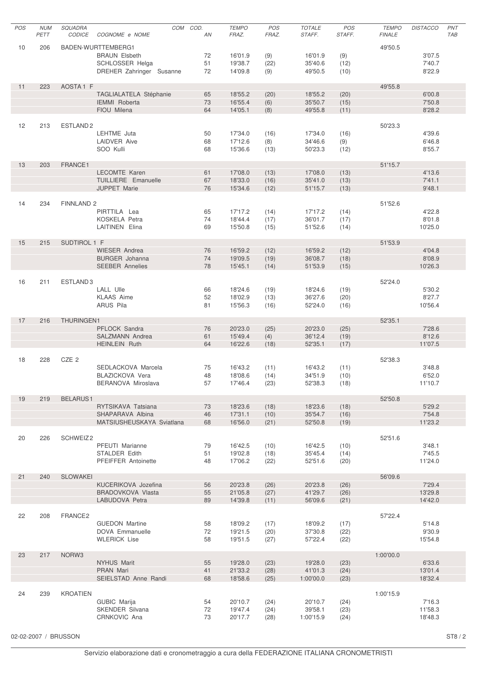| POS | <b>NUM</b><br>PETT | <b>SQUADRA</b><br><b>CODICE</b> | COGNOME e NOME                               | COM COD. | AN       | <b>TEMPO</b><br>FRAZ. | POS<br>FRAZ. | <b>TOTALE</b><br>STAFF. | POS<br>STAFF. | <b>TEMPO</b><br><b>FINALE</b> | <b>DISTACCO</b>   | PNT<br>TAB |
|-----|--------------------|---------------------------------|----------------------------------------------|----------|----------|-----------------------|--------------|-------------------------|---------------|-------------------------------|-------------------|------------|
| 10  | 206                |                                 | BADEN-WURTTEMBERG1                           |          |          |                       |              |                         |               | 49'50.5                       |                   |            |
|     |                    |                                 | <b>BRAUN Elsbeth</b>                         |          | 72       | 16'01.9               | (9)          | 16'01.9                 | (9)           |                               | 3'07.5            |            |
|     |                    |                                 | SCHLOSSER Helga                              |          | 51       | 19'38.7               | (22)         | 35'40.6                 | (12)          |                               | 7'40.7            |            |
|     |                    |                                 | DREHER Zahringer Susanne                     |          | 72       | 14'09.8               | (9)          | 49'50.5                 | (10)          |                               | 8'22.9            |            |
| 11  | 223                | AOSTA1 F                        |                                              |          |          |                       |              |                         |               | 49'55.8                       |                   |            |
|     |                    |                                 | TAGLIALATELA Stéphanie                       |          | 65       | 18'55.2               | (20)         | 18'55.2                 | (20)          |                               | 6'00.8            |            |
|     |                    |                                 | IEMMI Roberta                                |          | 73       | 16'55.4               | (6)          | 35'50.7                 | (15)          |                               | 7'50.8            |            |
|     |                    |                                 | FIOU Milena                                  |          | 64       | 14'05.1               | (8)          | 49'55.8                 | (11)          |                               | 8'28.2            |            |
|     |                    |                                 |                                              |          |          |                       |              |                         |               |                               |                   |            |
| 12  | 213                | ESTLAND <sub>2</sub>            |                                              |          |          |                       |              |                         |               | 50'23.3                       |                   |            |
|     |                    |                                 | LEHTME Juta<br><b>LAIDVER Aive</b>           |          | 50       | 17'34.0<br>17'12.6    | (16)         | 17'34.0<br>34'46.6      | (16)          |                               | 4'39.6            |            |
|     |                    |                                 | SOO Kulli                                    |          | 68<br>68 | 15'36.6               | (8)<br>(13)  | 50'23.3                 | (9)<br>(12)   |                               | 6'46.8<br>8'55.7  |            |
|     |                    |                                 |                                              |          |          |                       |              |                         |               |                               |                   |            |
| 13  | 203                | FRANCE1                         |                                              |          |          |                       |              |                         |               | 51'15.7                       |                   |            |
|     |                    |                                 | <b>LECOMTE Karen</b>                         |          | 61       | 17'08.0               | (13)         | 17'08.0                 | (13)          |                               | 4'13.6            |            |
|     |                    |                                 | TUILLIERE Emanuelle                          |          | 67       | 18'33.0               | (16)         | 35'41.0                 | (13)          |                               | 7'41.1            |            |
|     |                    |                                 | <b>JUPPET Marie</b>                          |          | 76       | 15'34.6               | (12)         | 51'15.7                 | (13)          |                               | 9'48.1            |            |
| 14  | 234                | <b>FINNLAND 2</b>               |                                              |          |          |                       |              |                         |               | 51'52.6                       |                   |            |
|     |                    |                                 | PIRTTILA Lea                                 |          | 65       | 17'17.2               | (14)         | 17'17.2                 | (14)          |                               | 4'22.8            |            |
|     |                    |                                 | <b>KOSKELA Petra</b>                         |          | 74       | 18'44.4               | (17)         | 36'01.7                 | (17)          |                               | 8'01.8            |            |
|     |                    |                                 | <b>LAITINEN Elina</b>                        |          | 69       | 15'50.8               | (15)         | 51'52.6                 | (14)          |                               | 10'25.0           |            |
|     |                    |                                 |                                              |          |          |                       |              |                         |               |                               |                   |            |
| 15  | 215                | SUDTIROL 1 F                    |                                              |          |          |                       |              |                         |               | 51'53.9                       |                   |            |
|     |                    |                                 | <b>WIESER Andrea</b>                         |          | 76       | 16'59.2               | (12)         | 16'59.2                 | (12)          |                               | 4'04.8            |            |
|     |                    |                                 | <b>BURGER Johanna</b>                        |          | 74       | 19'09.5               | (19)         | 36'08.7                 | (18)          |                               | 8'08.9            |            |
|     |                    |                                 | <b>SEEBER Annelies</b>                       |          | 78       | 15'45.1               | (14)         | 51'53.9                 | (15)          |                               | 10'26.3           |            |
|     |                    |                                 |                                              |          |          |                       |              |                         |               |                               |                   |            |
| 16  | 211                | ESTLAND <sub>3</sub>            | <b>LALL Ulle</b>                             |          | 66       | 18'24.6               | (19)         | 18'24.6                 | (19)          | 52'24.0                       | 5'30.2            |            |
|     |                    |                                 | <b>KLAAS Aime</b>                            |          | 52       | 18'02.9               | (13)         | 36'27.6                 | (20)          |                               | 8'27.7            |            |
|     |                    |                                 | <b>ARUS Pila</b>                             |          | 81       | 15'56.3               | (16)         | 52'24.0                 | (16)          |                               | 10'56.4           |            |
|     |                    |                                 |                                              |          |          |                       |              |                         |               |                               |                   |            |
| 17  | 216                | THURINGEN1                      |                                              |          |          |                       |              |                         |               | 52'35.1                       |                   |            |
|     |                    |                                 | PFLOCK Sandra                                |          | 76       | 20'23.0               | (25)         | 20'23.0                 | (25)          |                               | 7'28.6            |            |
|     |                    |                                 | SALZMANN Andrea                              |          | 61       | 15'49.4               | (4)          | 36'12.4                 | (19)          |                               | 8'12.6            |            |
|     |                    |                                 | <b>HEINLEIN Ruth</b>                         |          | 64       | 16'22.6               | (18)         | 52'35.1                 | (17)          |                               | 11'07.5           |            |
|     |                    |                                 |                                              |          |          |                       |              |                         |               |                               |                   |            |
| 18  | 228                | CZE 2                           |                                              |          |          |                       |              |                         |               | 52'38.3                       |                   |            |
|     |                    |                                 | SEDLACKOVA Marcela                           |          | 75       | 16'43.2               | (11)         | 16'43.2                 | (11)          |                               | 3'48.8            |            |
|     |                    |                                 | <b>BLAZICKOVA Vera</b><br>BERANOVA Miroslava |          | 48       | 18'08.6               | (14)         | 34'51.9                 | (10)          |                               | 6'52.0            |            |
|     |                    |                                 |                                              |          | 57       | 17'46.4               | (23)         | 52'38.3                 | (18)          |                               | 11'10.7           |            |
| 19  | 219                | <b>BELARUS1</b>                 |                                              |          |          |                       |              |                         |               | 52'50.8                       |                   |            |
|     |                    |                                 | RYTSIKAVA Tatsiana                           |          | 73       | 18'23.6               | (18)         | 18'23.6                 | (18)          |                               | 5'29.2            |            |
|     |                    |                                 | SHAPARAVA Albina                             |          | 46       | 17'31.1               | (10)         | 35'54.7                 | (16)          |                               | 7'54.8            |            |
|     |                    |                                 | MATSIUSHEUSKAYA Sviatlana                    |          | 68       | 16'56.0               | (21)         | 52'50.8                 | (19)          |                               | 11'23.2           |            |
|     |                    |                                 |                                              |          |          |                       |              |                         |               |                               |                   |            |
| 20  | 226                | SCHWEIZ2                        | PFEUTI Marianne                              |          | 79       | 16'42.5               | (10)         | 16'42.5                 | (10)          | 52'51.6                       | 3'48.1            |            |
|     |                    |                                 | STALDER Edith                                |          | 51       | 19'02.8               | (18)         | 35'45.4                 | (14)          |                               | 7'45.5            |            |
|     |                    |                                 | PFEIFFER Antoinette                          |          | 48       | 17'06.2               | (22)         | 52'51.6                 | (20)          |                               | 11'24.0           |            |
|     |                    |                                 |                                              |          |          |                       |              |                         |               |                               |                   |            |
| 21  | 240                | <b>SLOWAKEI</b>                 |                                              |          |          |                       |              |                         |               | 56'09.6                       |                   |            |
|     |                    |                                 | KUCERIKOVA Jozefina                          |          | 56       | 20'23.8               | (26)         | 20'23.8                 | (26)          |                               | 7'29.4            |            |
|     |                    |                                 | BRADOVKOVA Vlasta                            |          | 55       | 21'05.8               | (27)         | 41'29.7                 | (26)          |                               | 13'29.8           |            |
|     |                    |                                 | LABUDOVA Petra                               |          | 89       | 14'39.8               | (11)         | 56'09.6                 | (21)          |                               | 14'42.0           |            |
| 22  | 208                | FRANCE2                         |                                              |          |          |                       |              |                         |               | 57'22.4                       |                   |            |
|     |                    |                                 | <b>GUEDON Martine</b>                        |          | 58       | 18'09.2               | (17)         | 18'09.2                 | (17)          |                               | 5'14.8            |            |
|     |                    |                                 | DOVA Emmanuelle                              |          | 72       | 19'21.5               | (20)         | 37'30.8                 | (22)          |                               | 9'30.9            |            |
|     |                    |                                 | <b>WLERICK Lise</b>                          |          | 58       | 19'51.5               | (27)         | 57'22.4                 | (22)          |                               | 15'54.8           |            |
|     |                    |                                 |                                              |          |          |                       |              |                         |               |                               |                   |            |
| 23  | 217                | NORW3                           |                                              |          |          |                       |              |                         |               | 1:00'00.0                     |                   |            |
|     |                    |                                 | <b>NYHUS Marit</b><br>PRAN Mari              |          | 55<br>41 | 19'28.0<br>21'33.2    | (23)<br>(28) | 19'28.0<br>41'01.3      | (23)<br>(24)  |                               | 6'33.6<br>13'01.4 |            |
|     |                    |                                 | SEIELSTAD Anne Randi                         |          | 68       | 18'58.6               | (25)         | 1:00'00.0               | (23)          |                               | 18'32.4           |            |
|     |                    |                                 |                                              |          |          |                       |              |                         |               |                               |                   |            |
| 24  | 239                | <b>KROATIEN</b>                 |                                              |          |          |                       |              |                         |               | 1:00'15.9                     |                   |            |
|     |                    |                                 | GUBIC Marija                                 |          | 54       | 20'10.7               | (24)         | 20'10.7                 | (24)          |                               | 7'16.3            |            |
|     |                    |                                 | SKENDER Silvana                              |          | 72       | 19'47.4               | (24)         | 39'58.1                 | (23)          |                               | 11'58.3           |            |
|     |                    |                                 | CRNKOVIC Ana                                 |          | 73       | 20'17.7               | (28)         | 1:00'15.9               | (24)          |                               | 18'48.3           |            |
|     |                    |                                 |                                              |          |          |                       |              |                         |               |                               |                   |            |

02-02-2007 / BRUSSON ST8 / 2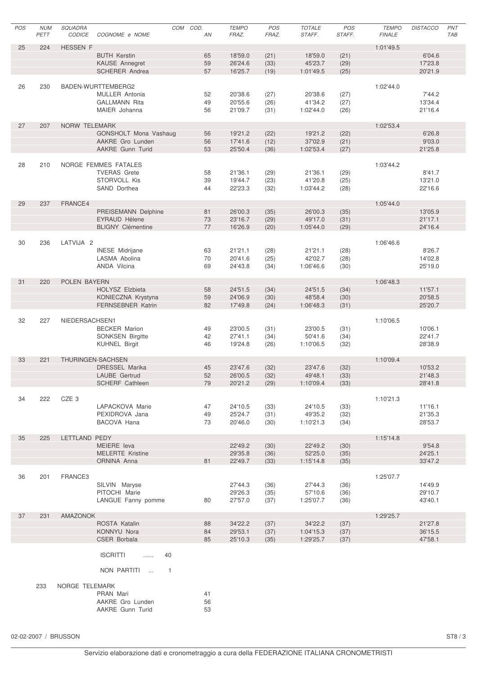| POS | <b>NUM</b><br>PETT | SQUADRA<br>CODICE | COGNOME e NOME                    | COM COD.       | AN       | <b>TEMPO</b><br>FRAZ. | POS<br>FRAZ. | <b>TOTALE</b><br>STAFF. | POS<br>STAFF. | <b>TEMPO</b><br><b>FINALE</b> | <b>DISTACCO</b>    | PNT<br><b>TAB</b> |
|-----|--------------------|-------------------|-----------------------------------|----------------|----------|-----------------------|--------------|-------------------------|---------------|-------------------------------|--------------------|-------------------|
| 25  | 224                | <b>HESSEN F</b>   |                                   |                |          |                       |              |                         |               | 1:01'49.5                     |                    |                   |
|     |                    |                   | <b>BUTH Kerstin</b>               |                | 65       | 18'59.0               | (21)         | 18'59.0                 | (21)          |                               | 6'04.6             |                   |
|     |                    |                   | KAUSE Annegret                    |                | 59       | 26'24.6               | (33)         | 45'23.7                 | (29)          |                               | 17'23.8            |                   |
|     |                    |                   | <b>SCHERER Andrea</b>             |                | 57       | 16'25.7               | (19)         | 1:01'49.5               | (25)          |                               | 20'21.9            |                   |
|     |                    |                   |                                   |                |          |                       |              |                         |               |                               |                    |                   |
| 26  | 230                |                   | BADEN-WURTTEMBERG2                |                |          |                       |              |                         |               | 1:02'44.0                     |                    |                   |
|     |                    |                   | <b>MULLER Antonia</b>             |                | 52       | 20'38.6               | (27)         | 20'38.6                 | (27)          |                               | 7'44.2             |                   |
|     |                    |                   | <b>GALLMANN Rita</b>              |                | 49       | 20'55.6               | (26)         | 41'34.2                 | (27)          |                               | 13'34.4            |                   |
|     |                    |                   | MAIER Johanna                     |                | 56       | 21'09.7               | (31)         | 1:02'44.0               | (26)          |                               | 21'16.4            |                   |
|     |                    |                   |                                   |                |          |                       |              |                         |               |                               |                    |                   |
| 27  | 207                | NORW TELEMARK     |                                   |                |          |                       |              |                         |               | 1:02'53.4                     |                    |                   |
|     |                    |                   | GONSHOLT Mona Vashaug             |                | 56       | 19'21.2               | (22)         | 19'21.2                 | (22)          |                               | 6'26.8             |                   |
|     |                    |                   | AAKRE Gro Lunden                  |                | 56       | 17'41.6               | (12)         | 37'02.9                 | (21)          |                               | 9'03.0             |                   |
|     |                    |                   | AAKRE Gunn Turid                  |                | 53       | 25'50.4               | (36)         | 1:02'53.4               | (27)          |                               | 21'25.8            |                   |
| 28  | 210                |                   | NORGE FEMMES FATALES              |                |          |                       |              |                         |               | 1:03'44.2                     |                    |                   |
|     |                    |                   | <b>TVERAS Grete</b>               |                | 58       | 21'36.1               | (29)         | 21'36.1                 | (29)          |                               | 8'41.7             |                   |
|     |                    |                   | STORVOLL Kis                      |                | 39       | 19'44.7               | (23)         | 41'20.8                 | (25)          |                               | 13'21.0            |                   |
|     |                    |                   | SAND Dorthea                      |                | 44       | 22'23.3               | (32)         | 1:03'44.2               | (28)          |                               | 22'16.6            |                   |
|     |                    |                   |                                   |                |          |                       |              |                         |               |                               |                    |                   |
| 29  | 237                | FRANCE4           |                                   |                |          |                       |              |                         |               | 1:05'44.0                     |                    |                   |
|     |                    |                   | PREISEMANN Delphine               |                | 81       | 26'00.3               | (35)         | 26'00.3                 | (35)          |                               | 13'05.9            |                   |
|     |                    |                   | <b>EYRAUD Hélene</b>              |                | 73       | 23'16.7               | (29)         | 49'17.0                 | (31)          |                               | 21'17.1            |                   |
|     |                    |                   | <b>BLIGNY Clémentine</b>          |                | 77       | 16'26.9               | (20)         | 1:05'44.0               | (29)          |                               | 24'16.4            |                   |
|     |                    |                   |                                   |                |          |                       |              |                         |               |                               |                    |                   |
| 30  | 236                | LATVIJA 2         |                                   |                |          |                       |              |                         |               | 1:06'46.6                     |                    |                   |
|     |                    |                   | <b>INESE</b> Midrijane            |                | 63       | 21'21.1               | (28)         | 21'21.1                 | (28)          |                               | 8'26.7             |                   |
|     |                    |                   | LASMA Abolina                     |                | 70       | 20'41.6               | (25)         | 42'02.7                 | (28)          |                               | 14'02.8            |                   |
|     |                    |                   | ANDA Vilcina                      |                | 69       | 24'43.8               | (34)         | 1:06'46.6               | (30)          |                               | 25'19.0            |                   |
|     |                    |                   |                                   |                |          |                       |              |                         |               |                               |                    |                   |
| 31  | 220                | POLEN BAYERN      |                                   |                |          |                       |              |                         |               | 1:06'48.3                     |                    |                   |
|     |                    |                   | HOLYSZ Elzbieta                   |                | 58       | 24'51.5               | (34)         | 24'51.5                 | (34)          |                               | 11'57.1            |                   |
|     |                    |                   | KONIECZNA Krystyna                |                | 59       | 24'06.9               | (30)         | 48'58.4                 | (30)          |                               | 20'58.5            |                   |
|     |                    |                   | <b>FERNSEBNER Katrin</b>          |                | 82       | 17'49.8               | (24)         | 1:06'48.3               | (31)          |                               | 25'20.7            |                   |
|     |                    |                   |                                   |                |          |                       |              |                         |               |                               |                    |                   |
| 32  | 227                | NIEDERSACHSEN1    |                                   |                |          |                       |              |                         |               | 1:10'06.5                     |                    |                   |
|     |                    |                   | <b>BECKER Marion</b>              |                | 49       | 23'00.5               | (31)         | 23'00.5                 | (31)          |                               | 10'06.1            |                   |
|     |                    |                   | <b>SONKSEN Birgitte</b>           |                | 42       | 27'41.1               | (34)         | 50'41.6                 | (34)          |                               | 22'41.7            |                   |
|     |                    |                   | <b>KUHNEL Birgit</b>              |                | 46       | 19'24.8               | (26)         | 1:10'06.5               | (32)          |                               | 28'38.9            |                   |
|     |                    |                   |                                   |                |          |                       |              |                         |               |                               |                    |                   |
| 33  | 221                |                   | THURINGEN-SACHSEN                 |                |          |                       |              |                         |               | 1:10'09.4                     |                    |                   |
|     |                    |                   | <b>DRESSEL Marika</b>             |                | 45       | 23'47.6               | (32)         | 23'47.6                 | (32)          |                               | 10'53.2            |                   |
|     |                    |                   | LAUBE Gertrud                     |                | 52       | 26'00.5               | (32)         | 49'48.1                 | (33)          |                               | 21'48.3            |                   |
|     |                    |                   | SCHERF Cathleen                   |                | 79       | 20'21.2               | (29)         | 1:10'09.4               | (33)          |                               | 28'41.8            |                   |
|     |                    |                   |                                   |                |          |                       |              |                         |               |                               |                    |                   |
| 34  | 222                | CZE <sub>3</sub>  |                                   |                |          |                       |              |                         |               | 1:10'21.3                     |                    |                   |
|     |                    |                   | LAPACKOVA Marie<br>PEXIDROVA Jana |                | 47<br>49 | 24'10.5<br>25'24.7    | (33)         | 24'10.5<br>49'35.2      | (33)          |                               | 11'16.1<br>21'35.3 |                   |
|     |                    |                   | BACOVA Hana                       |                | 73       | 20'46.0               | (31)<br>(30) | 1:10'21.3               | (32)<br>(34)  |                               | 28'53.7            |                   |
|     |                    |                   |                                   |                |          |                       |              |                         |               |                               |                    |                   |
| 35  | 225                | LETTLAND PEDY     |                                   |                |          |                       |              |                         |               | 1:15'14.8                     |                    |                   |
|     |                    |                   | MEIERE leva                       |                |          | 22'49.2               | (30)         | 22'49.2                 | (30)          |                               | 9'54.8             |                   |
|     |                    |                   | <b>MELERTE Kristine</b>           |                |          | 29'35.8               | (36)         | 52'25.0                 | (35)          |                               | 24'25.1            |                   |
|     |                    |                   | ORNINA Anna                       |                | 81       | 22'49.7               | (33)         | 1:15'14.8               | (35)          |                               | 33'47.2            |                   |
|     |                    |                   |                                   |                |          |                       |              |                         |               |                               |                    |                   |
| 36  | 201                | FRANCE3           |                                   |                |          |                       |              |                         |               | 1:25'07.7                     |                    |                   |
|     |                    |                   | SILVIN Maryse                     |                |          | 27'44.3               | (36)         | 27'44.3                 | (36)          |                               | 14'49.9            |                   |
|     |                    |                   | PITOCHI Marie                     |                |          | 29'26.3               | (35)         | 57'10.6                 | (36)          |                               | 29'10.7            |                   |
|     |                    |                   | LANGUE Fanny pomme                |                | 80       | 27'57.0               | (37)         | 1:25'07.7               | (36)          |                               | 43'40.1            |                   |
|     |                    |                   |                                   |                |          |                       |              |                         |               |                               |                    |                   |
| 37  | 231                | AMAZONOK          |                                   |                |          |                       |              |                         |               | 1:29'25.7                     |                    |                   |
|     |                    |                   | ROSTA Katalin                     |                | 88       | 34'22.2               | (37)         | 34'22.2                 | (37)          |                               | 21'27.8            |                   |
|     |                    |                   | KONNYU Nora                       |                | 84       | 29'53.1               | (37)         | 1:04'15.3               | (37)          |                               | 36'15.5            |                   |
|     |                    |                   | <b>CSER Borbala</b>               |                | 85       | 25'10.3               | (35)         | 1:29'25.7               | (37)          |                               | 47'58.1            |                   |
|     |                    |                   |                                   |                |          |                       |              |                         |               |                               |                    |                   |
|     |                    |                   | <b>ISCRITTI</b><br>.              | 40             |          |                       |              |                         |               |                               |                    |                   |
|     |                    |                   |                                   |                |          |                       |              |                         |               |                               |                    |                   |
|     |                    |                   | NON PARTITI                       | $\overline{1}$ |          |                       |              |                         |               |                               |                    |                   |
|     |                    |                   |                                   |                |          |                       |              |                         |               |                               |                    |                   |
|     | 233                | NORGE TELEMARK    |                                   |                |          |                       |              |                         |               |                               |                    |                   |
|     |                    |                   | PRAN Mari                         |                | 41       |                       |              |                         |               |                               |                    |                   |
|     |                    |                   | AAKRE Gro Lunden                  |                | 56       |                       |              |                         |               |                               |                    |                   |
|     |                    |                   | AAKRE Gunn Turid                  |                | 53       |                       |              |                         |               |                               |                    |                   |
|     |                    |                   |                                   |                |          |                       |              |                         |               |                               |                    |                   |

02-02-2007 / BRUSSON ST8 / 3